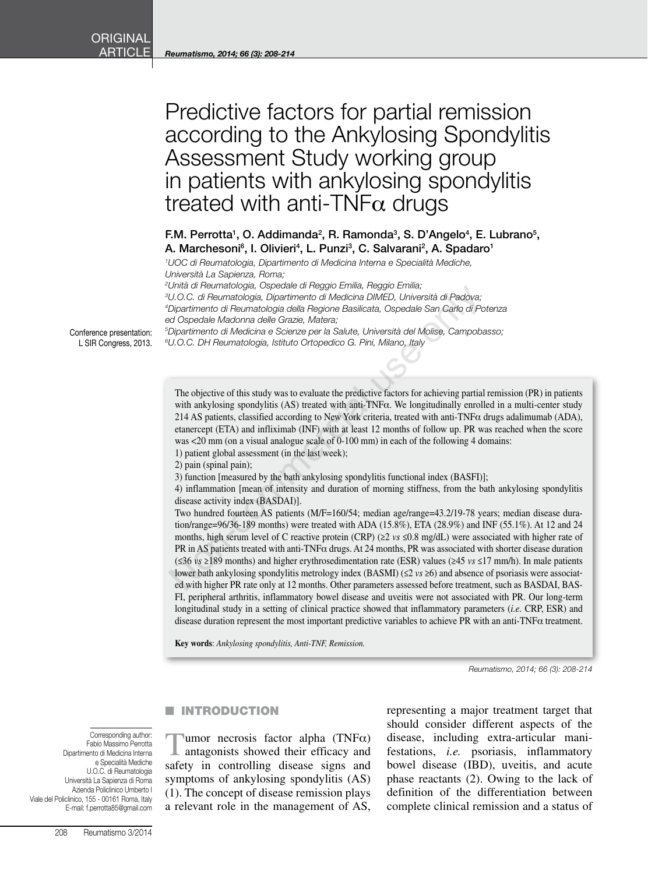# Predictive factors for partial remission according to the Ankylosing Spondylitis Assessment Study working group in patients with ankylosing spondylitis treated with anti-TNF $\alpha$  drugs

## F.M. Perrotta<sup>1</sup>, O. Addimanda<sup>2</sup>, R. Ramonda<sup>3</sup>, S. D'Angelo<sup>4</sup>, E. Lubrano<sup>5</sup>, A. Marchesoni<sup>6</sup>, I. Olivieri<sup>4</sup>, L. Punzi<sup>3</sup>, C. Salvarani<sup>2</sup>, A. Spadaro<sup>1</sup>

*1 UOC di Reumatologia, Dipartimento di Medicina Interna e Specialità Mediche, Università La Sapienza, Roma;* 

 *Unità di Reumatologia, Ospedale di Reggio Emilia, Reggio Emilia; U.O.C. di Reumatologia, Dipartimento di Medicina DIMED, Università di Padova; Dipartimento di Reumatologia della Regione Basilicata, Ospedale San Carlo di Potenza ed Ospedale Madonna delle Grazie, Matera; Dipartimento di Medicina e Scienze per la Salute, Università del Molise, Campobasso; U.O.C. DH Reumatologia, Istituto Ortopedico G. Pini, Milano, Italy*

Conference presentation: L SIR Congress, 2013.

> The objective of this study was to evaluate the predictive factors for achieving partial remission (PR) in patients with ankylosing spondylitis (AS) treated with anti-TNFα. We longitudinally enrolled in a multi-center study 214 AS patients, classified according to New York criteria, treated with anti-TNF $\alpha$  drugs adalimumab (ADA), etanercept (ETA) and infliximab (INF) with at least 12 months of follow up. PR was reached when the score was <20 mm (on a visual analogue scale of 0-100 mm) in each of the following 4 domains:

1) patient global assessment (in the last week);

2) pain (spinal pain);

3) function [measured by the bath ankylosing spondylitis functional index (BASFI)];

4) inflammation [mean of intensity and duration of morning stiffness, from the bath ankylosing spondylitis disease activity index (BASDAI)].

Two hundred fourteen AS patients (M/F=160/54; median age/range=43.2/19-78 years; median disease duration/range=96/36-189 months) were treated with ADA (15.8%), ETA (28.9%) and INF (55.1%). At 12 and 24 months, high serum level of C reactive protein (CRP) (≥2 *vs* ≤0.8 mg/dL) were associated with higher rate of PR in AS patients treated with anti-TNFα drugs. At 24 months, PR was associated with shorter disease duration (≤36 *vs* ≥189 months) and higher erythrosedimentation rate (ESR) values (≥45 *vs* ≤17 mm/h). In male patients lower bath ankylosing spondylitis metrology index (BASMI) (≤2 *vs* ≥6) and absence of psoriasis were associated with higher PR rate only at 12 months. Other parameters assessed before treatment, such as BASDAI, BAS-FI, peripheral arthritis, inflammatory bowel disease and uveitis were not associated with PR. Our long-term longitudinal study in a setting of clinical practice showed that inflammatory parameters (*i.e.* CRP, ESR) and disease duration represent the most important predictive variables to achieve PR with an anti-TNFα treatment. U.O.C. di Reumatologia, Ospetolate On Figgolo Ermina, regolyo Crimia;<br>
U.O.C. di Reumatologia, Dipartimento di Medicina DIMED, Università di Padova;<br>
Dipartimento di Reumatologia della Regione Basilicata, Ospedale San Car

**Key words**: *Ankylosing spondylitis, Anti-TNF, Remission.*

*Reumatismo, 2014; 66 (3): 208-214*

#### **NUMBER OF STREET INTRODUCTION**

Corresponding author: Fabio Massimo Perrotta Dipartimento di Medicina Interna e Specialità Mediche U.O.C. di Reumatologia Università La Sapienza di Roma Azienda Policlinico Umberto I Viale del Policlinico, 155 - 00161 Roma, Italy E-mail: f.perrotta85@gmail.com

 $\text{I$ umor necrosis factor alpha (TNF $\alpha$ ) antagonists showed their efficacy and safety in controlling disease signs and symptoms of ankylosing spondylitis (AS) (1). The concept of disease remission plays a relevant role in the management of AS, representing a major treatment target that should consider different aspects of the disease, including extra-articular manifestations, *i.e.* psoriasis, inflammatory bowel disease (IBD), uveitis, and acute phase reactants (2). Owing to the lack of definition of the differentiation between complete clinical remission and a status of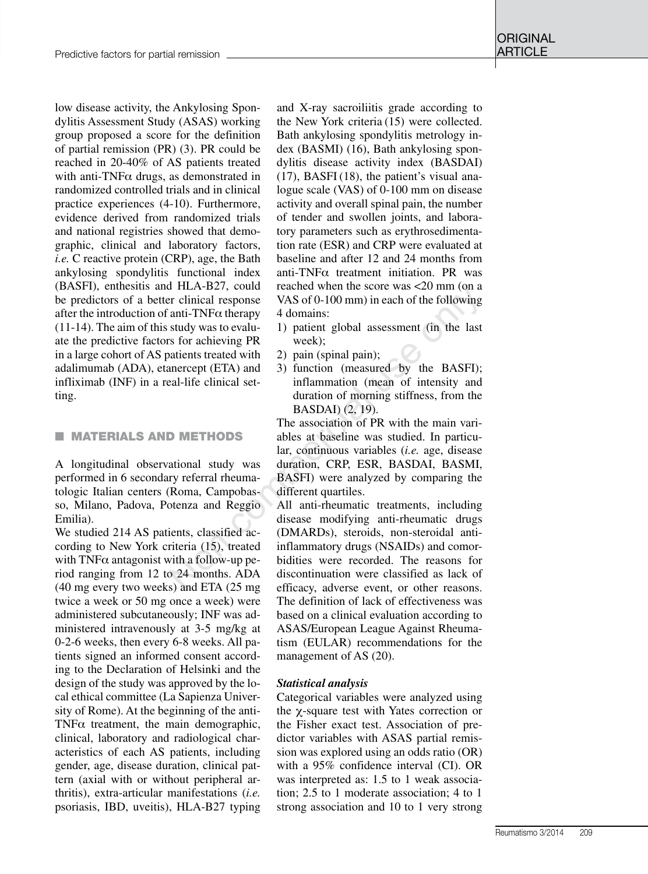low disease activity, the Ankylosing Spondylitis Assessment Study (ASAS) working group proposed a score for the definition of partial remission (PR) (3). PR could be reached in 20-40% of AS patients treated with anti-TNF $\alpha$  drugs, as demonstrated in randomized controlled trials and in clinical practice experiences (4-10). Furthermore, evidence derived from randomized trials and national registries showed that demographic, clinical and laboratory factors, *i.e.* C reactive protein (CRP), age, the Bath ankylosing spondylitis functional index (BASFI), enthesitis and HLA-B27, could be predictors of a better clinical response after the introduction of anti-TNF $\alpha$  therapy (11-14). The aim of this study was to evaluate the predictive factors for achieving PR in a large cohort of AS patients treated with adalimumab (ADA), etanercept (ETA) and infliximab (INF) in a real-life clinical setting.

#### **NATERIALS AND METHODS**

A longitudinal observational study was performed in 6 secondary referral rheumatologic Italian centers (Roma, Campobasso, Milano, Padova, Potenza and Reggio Emilia).

We studied 214 AS patients, classified according to New York criteria (15), treated with  $TNF\alpha$  antagonist with a follow-up period ranging from 12 to 24 months. ADA (40 mg every two weeks) and ETA (25 mg twice a week or 50 mg once a week) were administered subcutaneously; INF was administered intravenously at 3-5 mg/kg at 0-2-6 weeks, then every 6-8 weeks. All patients signed an informed consent according to the Declaration of Helsinki and the design of the study was approved by the local ethical committee (La Sapienza University of Rome). At the beginning of the anti-TNF $\alpha$  treatment, the main demographic, clinical, laboratory and radiological characteristics of each AS patients, including gender, age, disease duration, clinical pattern (axial with or without peripheral arthritis), extra-articular manifestations (*i.e.* psoriasis, IBD, uveitis), HLA-B27 typing

and X-ray sacroiliitis grade according to the New York criteria (15) were collected. Bath ankylosing spondylitis metrology index (BASMI) (16), Bath ankylosing spondylitis disease activity index (BASDAI) (17), BASFI (18), the patient's visual analogue scale (VAS) of 0-100 mm on disease activity and overall spinal pain, the number of tender and swollen joints, and laboratory parameters such as erythrosedimentation rate (ESR) and CRP were evaluated at baseline and after 12 and 24 months from anti-TNFα treatment initiation. PR was reached when the score was <20 mm (on a VAS of 0-100 mm) in each of the following 4 domains:

- 1) patient global assessment (in the last week);
- 2) pain (spinal pain);
- 3) function (measured by the BASFI); inflammation (mean of intensity and duration of morning stiffness, from the BASDAI) (2, 19).

The association of PR with the main variables at baseline was studied. In particular, continuous variables (*i.e.* age, disease duration, CRP, ESR, BASDAI, BASMI, BASFI) were analyzed by comparing the different quartiles.

All anti-rheumatic treatments, including disease modifying anti-rheumatic drugs (DMARDs), steroids, non-steroidal antiinflammatory drugs (NSAIDs) and comorbidities were recorded. The reasons for discontinuation were classified as lack of efficacy, adverse event, or other reasons. The definition of lack of effectiveness was based on a clinical evaluation according to ASAS/European League Against Rheumatism (EULAR) recommendations for the management of AS (20). ITLA-B27, count reached when the score was <20 mm (on a<br>
Fr clinical response VAS of 0-100 mm) in each of the following<br>
anti-TNFα therapy 4 domains:<br>
study was to evalu-<br>
1) patient global assessment (in the last<br>
sfor a

## *Statistical analysis*

Categorical variables were analyzed using the χ-square test with Yates correction or the Fisher exact test. Association of predictor variables with ASAS partial remission was explored using an odds ratio (OR) with a 95% confidence interval (CI). OR was interpreted as: 1.5 to 1 weak association; 2.5 to 1 moderate association; 4 to 1 strong association and 10 to 1 very strong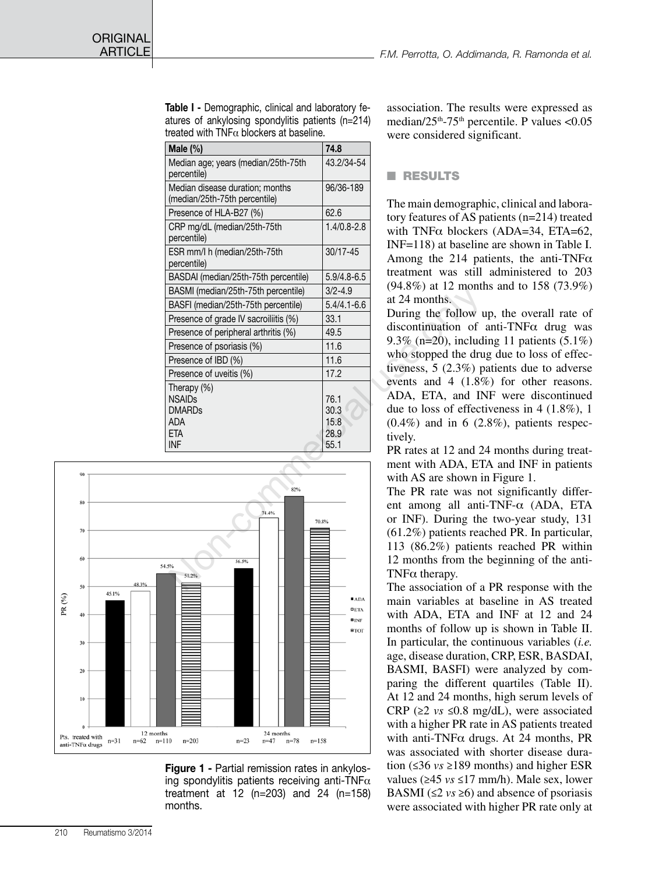**ORIGINAL** 

| Table I - Demographic, clinical and laboratory fe- |
|----------------------------------------------------|
| atures of ankylosing spondylitis patients (n=214)  |
| treated with TNF $\alpha$ blockers at baseline.    |

|                                                                                         |                                                                                                                                                                                                                 | $W$ $C_1$ $C_2$ $C_3$ $C_4$ $C_5$ $C_6$ $C_7$ $C_8$ $C_9$                                                                     |
|-----------------------------------------------------------------------------------------|-----------------------------------------------------------------------------------------------------------------------------------------------------------------------------------------------------------------|-------------------------------------------------------------------------------------------------------------------------------|
| Male (%)                                                                                | 74.8                                                                                                                                                                                                            |                                                                                                                               |
| Median age; years (median/25th-75th<br>percentile)                                      | 43.2/34-54                                                                                                                                                                                                      | RESULTS                                                                                                                       |
| Median disease duration; months<br>(median/25th-75th percentile)                        | 96/36-189                                                                                                                                                                                                       | The main demograph                                                                                                            |
| Presence of HLA-B27 (%)                                                                 | 62.6                                                                                                                                                                                                            | tory features of AS p                                                                                                         |
| CRP mg/dL (median/25th-75th<br>percentile)                                              | $1.4/0.8 - 2.8$                                                                                                                                                                                                 | with $TNF\alpha$ blockers                                                                                                     |
| ESR mm/l h (median/25th-75th<br>percentile)                                             | $30/17 - 45$                                                                                                                                                                                                    | $INF=118$ ) at baseline<br>Among the 214 pa                                                                                   |
| BASDAI (median/25th-75th percentile)                                                    | $5.9/4.8 - 6.5$                                                                                                                                                                                                 | treatment was still                                                                                                           |
| BASMI (median/25th-75th percentile)                                                     | $3/2 - 4.9$                                                                                                                                                                                                     | $(94.8\%)$ at 12 montl                                                                                                        |
| BASFI (median/25th-75th percentile)                                                     | $5.4/4.1 - 6.6$                                                                                                                                                                                                 | at 24 months.                                                                                                                 |
| Presence of grade IV sacroiliitis (%)                                                   | 33.1                                                                                                                                                                                                            | During the follow u                                                                                                           |
| Presence of peripheral arthritis (%)                                                    | 49.5                                                                                                                                                                                                            | discontinuation of                                                                                                            |
| Presence of psoriasis (%)                                                               | 11.6                                                                                                                                                                                                            | 9.3% ( $n=20$ ), includ                                                                                                       |
| Presence of IBD (%)                                                                     | 11.6                                                                                                                                                                                                            | who stopped the dru                                                                                                           |
| Presence of uveitis (%)                                                                 | 17.2                                                                                                                                                                                                            | tiveness, $5(2.3\%)$ p                                                                                                        |
| Therapy (%)<br><b>NSAIDs</b><br><b>DMARDs</b><br><b>ADA</b><br><b>ETA</b><br><b>INF</b> | 76.1<br>30.3<br>15.8<br>28.9<br>55.1                                                                                                                                                                            | events and 4 (1.89)<br>ADA, ETA, and IN<br>due to loss of effect<br>$(0.4\%)$ and in 6 (2)<br>tively.<br>PR rates at 12 and 2 |
|                                                                                         |                                                                                                                                                                                                                 | ment with ADA, ET                                                                                                             |
| 82%<br>74.4%<br>70.8%<br>56.5%<br>4.5%<br>51.2%                                         | with AS are shown if<br>The PR rate was no<br>ent among all anti<br>or INF). During the<br>$(61.2\%)$ patients rea<br>113 (86.2%) patien<br>12 months from the<br>TNF $\alpha$ therapy.<br>The association of a |                                                                                                                               |



Figure 1 - Partial remission rates in ankylosing spondylitis patients receiving anti-TNF $\alpha$ treatment at 12 (n=203) and 24 (n=158) months.

association. The results were expressed as median/ $25<sup>th</sup>$ -75<sup>th</sup> percentile. P values <0.05 were considered significant.

## **n** RESULTS

The main demographic, clinical and laboratory features of AS patients (n=214) treated with TNF $\alpha$  blockers (ADA=34, ETA=62, INF=118) at baseline are shown in Table I. Among the 214 patients, the anti-TNF $\alpha$ treatment was still administered to 203 (94.8%) at 12 months and to 158 (73.9%) at 24 months.

During the follow up, the overall rate of discontinuation of anti-TNFα drug was 9.3% (n=20), including 11 patients (5.1%) who stopped the drug due to loss of effectiveness, 5 (2.3%) patients due to adverse events and 4 (1.8%) for other reasons. ADA, ETA, and INF were discontinued due to loss of effectiveness in 4 (1.8%), 1  $(0.4\%)$  and in 6  $(2.8\%)$ , patients respectively.

PR rates at 12 and 24 months during treatment with ADA, ETA and INF in patients with AS are shown in Figure 1.

The PR rate was not significantly different among all anti-TNF-α (ADA, ETA or INF). During the two-year study, 131 (61.2%) patients reached PR. In particular, 113 (86.2%) patients reached PR within 12 months from the beginning of the anti-TNFα therapy.

The association of a PR response with the main variables at baseline in AS treated with ADA, ETA and INF at 12 and 24 months of follow up is shown in Table II. In particular, the continuous variables (*i.e.* age, disease duration, CRP, ESR, BASDAI, BASMI, BASFI) were analyzed by comparing the different quartiles (Table II). At 12 and 24 months, high serum levels of CRP ( $\geq 2$  *vs*  $\leq 0.8$  mg/dL), were associated with a higher PR rate in AS patients treated with anti-TNFα drugs. At 24 months, PR was associated with shorter disease duration (≤36 *vs* ≥189 months) and higher ESR values (≥45 *vs* ≤17 mm/h). Male sex, lower BASMI ( $\leq$ 2 *vs*  $\geq$ 6) and absence of psoriasis were associated with higher PR rate only at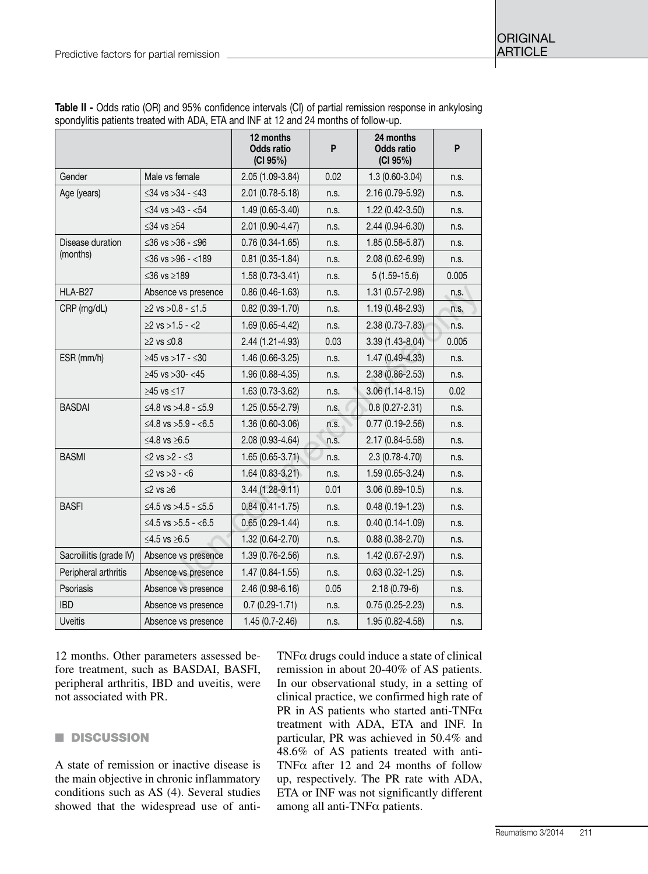|                         |                              | 12 months<br>Odds ratio<br>(CI 95%) | P    | 24 months<br><b>Odds ratio</b><br>(CI 95%) | P     |
|-------------------------|------------------------------|-------------------------------------|------|--------------------------------------------|-------|
| Gender                  | Male vs female               | 2.05 (1.09-3.84)                    | 0.02 | $1.3(0.60-3.04)$                           | n.s.  |
| Age (years)             | ≤34 vs >34 - ≤43             | 2.01 (0.78-5.18)                    | n.s. | 2.16 (0.79-5.92)                           | n.s.  |
|                         | ≤34 vs >43 - <54             | $1.49(0.65 - 3.40)$                 | n.s. | $1.22(0.42 - 3.50)$                        | n.s.  |
|                         | ≤34 vs $≥54$                 | 2.01 (0.90-4.47)                    | n.s. | 2.44 (0.94-6.30)                           | n.s.  |
| Disease duration        | ≤36 vs >36 - ≤96             | $0.76(0.34-1.65)$                   | n.s. | $1.85(0.58 - 5.87)$                        | n.s.  |
| (months)                | ≤36 vs >96 - <189            | $0.81(0.35-1.84)$                   | n.s. | 2.08 (0.62-6.99)                           | n.s.  |
|                         | ≤36 vs ≥189                  | 1.58 (0.73-3.41)                    | n.s. | $5(1.59-15.6)$                             | 0.005 |
| HLA-B27                 | Absence vs presence          | $0.86(0.46-1.63)$                   | n.s. | 1.31 (0.57-2.98)                           | n.s.  |
| CRP (mg/dL)             | $≥2$ vs $>0.8 - ≤1.5$        | $0.82(0.39-1.70)$                   | n.s. | 1.19 (0.48-2.93)                           | n.s.  |
|                         | $≥2$ vs $>1.5 - <2$          | $1.69(0.65 - 4.42)$                 | n.s. | $2.38(0.73 - 7.83)$                        | n.s.  |
|                         | $≥2$ vs $≤0.8$               | 2.44 (1.21-4.93)                    | 0.03 | $3.39(1.43 - 8.04)$                        | 0.005 |
| ESR (mm/h)              | $≥45$ vs $>17 - ≤30$         | $1.46(0.66-3.25)$                   | n.s. | $1.47(0.49-4.33)$                          | n.s.  |
|                         | $≥45$ vs $>30-$ <45          | 1.96 (0.88-4.35)                    | n.s. | $2.38(0.86 - 2.53)$                        | n.s.  |
|                         | ≥45 vs ≤17                   | 1.63 (0.73-3.62)                    | n.s. | $3.06(1.14 - 8.15)$                        | 0.02  |
| <b>BASDAI</b>           | ≤4.8 vs >4.8 - ≤5.9          | 1.25 (0.55-2.79)                    | n.s. | $0.8(0.27 - 2.31)$                         | n.s.  |
|                         | ≤4.8 vs >5.9 - <6.5          | 1.36 (0.60-3.06)                    | n.s. | $0.77(0.19 - 2.56)$                        | n.s.  |
|                         | ≤4.8 vs ≥6.5                 | 2.08 (0.93-4.64)                    | n.s. | 2.17 (0.84-5.58)                           | n.s.  |
| <b>BASMI</b>            | $\leq$ 2 vs $>$ 2 - $\leq$ 3 | $1.65(0.65-3.71)$                   | n.s. | $2.3(0.78 - 4.70)$                         | n.s.  |
|                         | $≤2$ vs >3 - <6              | $1.64(0.83 - 3.21)$                 | n.s. | $1.59(0.65-3.24)$                          | n.s.  |
|                         | $≤2$ vs $≥6$                 | $3.44(1.28-9.11)$                   | 0.01 | $3.06(0.89 - 10.5)$                        | n.s.  |
| <b>BASFI</b>            | ≤4.5 vs >4.5 - ≤5.5          | $0.84(0.41 - 1.75)$                 | n.s. | $0.48(0.19-1.23)$                          | n.s.  |
|                         | ≤4.5 vs >5.5 - <6.5          | $0.65(0.29-1.44)$                   | n.s. | $0.40(0.14-1.09)$                          | n.s.  |
|                         | ≤4.5 vs ≥6.5                 | 1.32 (0.64-2.70)                    | n.s. | $0.88(0.38 - 2.70)$                        | n.s.  |
| Sacroiliitis (grade IV) | Absence vs presence          | $1.39(0.76-2.56)$                   | n.s. | $1.42(0.67 - 2.97)$                        | n.s.  |
| Peripheral arthritis    | Absence vs presence          | $1.47(0.84 - 1.55)$                 | n.s. | $0.63(0.32 - 1.25)$                        | n.s.  |
| Psoriasis               | Absence vs presence          | 2.46 (0.98-6.16)                    | 0.05 | $2.18(0.79-6)$                             | n.s.  |
| <b>IBD</b>              | Absence vs presence          | $0.7(0.29-1.71)$                    | n.s. | $0.75(0.25-2.23)$                          | n.s.  |
| <b>Uveitis</b>          | Absence vs presence          | $1.45(0.7 - 2.46)$                  | n.s. | 1.95 (0.82-4.58)                           | n.s.  |

Table II - Odds ratio (OR) and 95% confidence intervals (CI) of partial remission response in ankylosing spondylitis patients treated with ADA, ETA and INF at 12 and 24 months of follow-up.

12 months. Other parameters assessed before treatment, such as BASDAI, BASFI, peripheral arthritis, IBD and uveitis, were not associated with PR.

## **n** DISCUSSION

A state of remission or inactive disease is the main objective in chronic inflammatory conditions such as AS (4). Several studies showed that the widespread use of antiTNFα drugs could induce a state of clinical remission in about 20-40% of AS patients. In our observational study, in a setting of clinical practice, we confirmed high rate of PR in AS patients who started anti-TNF $\alpha$ treatment with ADA, ETA and INF. In particular, PR was achieved in 50.4% and 48.6% of AS patients treated with anti-TNFα after 12 and 24 months of follow up, respectively. The PR rate with ADA, ETA or INF was not significantly different among all anti-TNFα patients.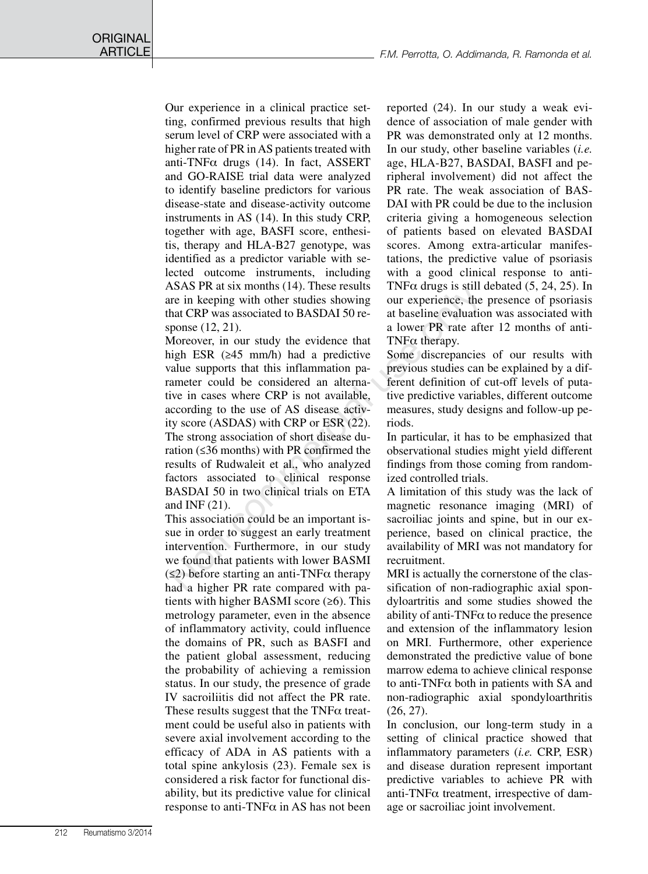Our experience in a clinical practice setting, confirmed previous results that high serum level of CRP were associated with a higher rate of PR in AS patients treated with anti-TNF $\alpha$  drugs (14). In fact, ASSERT and GO-RAISE trial data were analyzed to identify baseline predictors for various disease-state and disease-activity outcome instruments in AS (14). In this study CRP, together with age, BASFI score, enthesitis, therapy and HLA-B27 genotype, was identified as a predictor variable with selected outcome instruments, including ASAS PR at six months (14). These results are in keeping with other studies showing that CRP was associated to BASDAI 50 response (12, 21).

Moreover, in our study the evidence that high ESR (≥45 mm/h) had a predictive value supports that this inflammation parameter could be considered an alternative in cases where CRP is not available, according to the use of AS disease activity score (ASDAS) with CRP or ESR (22). The strong association of short disease duration (≤36 months) with PR confirmed the results of Rudwaleit et al., who analyzed factors associated to clinical response BASDAI 50 in two clinical trials on ETA and INF (21). ASAS PR at six montus (14). These results<br>
in Reeping with other studies showing our experience, the<br>
the CRP was associated to BASDAI 50 re-<br>
a lower PR rate after<br>
inponse (12, 21).<br>
a lower PR rate aft<br>
Moreover, in ou

This association could be an important issue in order to suggest an early treatment intervention. Furthermore, in our study we found that patients with lower BASMI  $(\leq 2)$  before starting an anti-TNF $\alpha$  therapy had a higher PR rate compared with patients with higher BASMI score  $(≥6)$ . This metrology parameter, even in the absence of inflammatory activity, could influence the domains of PR, such as BASFI and the patient global assessment, reducing the probability of achieving a remission status. In our study, the presence of grade IV sacroiliitis did not affect the PR rate. These results suggest that the TNF $\alpha$  treatment could be useful also in patients with severe axial involvement according to the efficacy of ADA in AS patients with a total spine ankylosis (23). Female sex is considered a risk factor for functional disability, but its predictive value for clinical response to anti-TNF $\alpha$  in AS has not been reported (24). In our study a weak evidence of association of male gender with PR was demonstrated only at 12 months. In our study, other baseline variables (*i.e.* age, HLA-B27, BASDAI, BASFI and peripheral involvement) did not affect the PR rate. The weak association of BAS-DAI with PR could be due to the inclusion criteria giving a homogeneous selection of patients based on elevated BASDAI scores. Among extra-articular manifestations, the predictive value of psoriasis with a good clinical response to anti-TNF $\alpha$  drugs is still debated (5, 24, 25). In our experience, the presence of psoriasis at baseline evaluation was associated with a lower PR rate after 12 months of anti-TNFα therapy.

Some discrepancies of our results with previous studies can be explained by a different definition of cut-off levels of putative predictive variables, different outcome measures, study designs and follow-up periods.

In particular, it has to be emphasized that observational studies might yield different findings from those coming from randomized controlled trials.

A limitation of this study was the lack of magnetic resonance imaging (MRI) of sacroiliac joints and spine, but in our experience, based on clinical practice, the availability of MRI was not mandatory for recruitment.

MRI is actually the cornerstone of the classification of non-radiographic axial spondyloartritis and some studies showed the ability of anti-TNF $\alpha$  to reduce the presence and extension of the inflammatory lesion on MRI. Furthermore, other experience demonstrated the predictive value of bone marrow edema to achieve clinical response to anti-TNFα both in patients with SA and non-radiographic axial spondyloarthritis (26, 27).

In conclusion, our long-term study in a setting of clinical practice showed that inflammatory parameters (*i.e.* CRP, ESR) and disease duration represent important predictive variables to achieve PR with anti-TNFα treatment, irrespective of damage or sacroiliac joint involvement.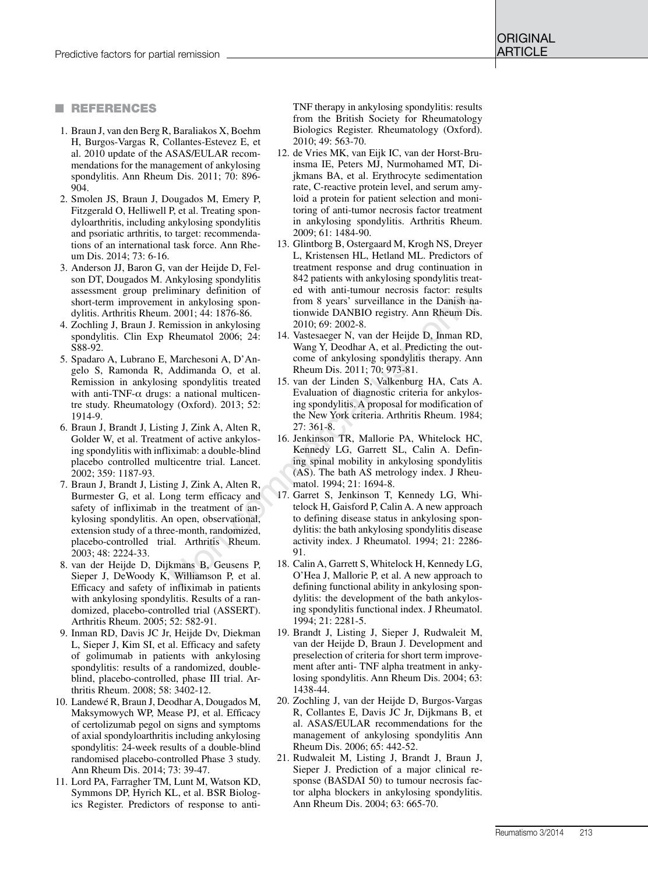#### **n** References

- 1. Braun J, van den Berg R, Baraliakos X, Boehm H, Burgos-Vargas R, Collantes-Estevez E, et al. 2010 update of the ASAS/EULAR recommendations for the management of ankylosing spondylitis. Ann Rheum Dis. 2011; 70: 896- 904.
- 2. Smolen JS, Braun J, Dougados M, Emery P, Fitzgerald O, Helliwell P, et al. Treating spondyloarthritis, including ankylosing spondylitis and psoriatic arthritis, to target: recommendations of an international task force. Ann Rheum Dis. 2014; 73: 6-16.
- 3. Anderson JJ, Baron G, van der Heijde D, Felson DT, Dougados M. Ankylosing spondylitis assessment group preliminary definition of short-term improvement in ankylosing spondylitis. Arthritis Rheum. 2001; 44: 1876-86.
- 4. Zochling J, Braun J. Remission in ankylosing spondylitis. Clin Exp Rheumatol 2006; 24: S88-92.
- 5. Spadaro A, Lubrano E, Marchesoni A, D'Angelo S, Ramonda R, Addimanda O, et al. Remission in ankylosing spondylitis treated with anti-TNF- $\alpha$  drugs: a national multicentre study. Rheumatology (Oxford). 2013; 52: 1914-9.
- 6. Braun J, Brandt J, Listing J, Zink A, Alten R, Golder W, et al. Treatment of active ankylosing spondylitis with infliximab: a double-blind placebo controlled multicentre trial. Lancet. 2002; 359: 1187-93.
- 7. Braun J, Brandt J, Listing J, Zink A, Alten R, Burmester G, et al. Long term efficacy and safety of infliximab in the treatment of ankylosing spondylitis. An open, observational, extension study of a three-month, randomized, placebo-controlled trial. Arthritis Rheum. 2003; 48: 2224-33.
- 8. van der Heijde D, Dijkmans B, Geusens P, Sieper J, DeWoody K, Williamson P, et al. Efficacy and safety of infliximab in patients with ankylosing spondylitis. Results of a randomized, placebo-controlled trial (ASSERT). Arthritis Rheum. 2005; 52: 582-91.
- 9. Inman RD, Davis JC Jr, Heijde Dv, Diekman L, Sieper J, Kim SI, et al. Efficacy and safety of golimumab in patients with ankylosing spondylitis: results of a randomized, doubleblind, placebo-controlled, phase III trial. Arthritis Rheum. 2008; 58: 3402-12.
- 10. Landewé R, Braun J, Deodhar A, Dougados M, Maksymowych WP, Mease PJ, et al. Efficacy of certolizumab pegol on signs and symptoms of axial spondyloarthritis including ankylosing spondylitis: 24-week results of a double-blind randomised placebo-controlled Phase 3 study. Ann Rheum Dis. 2014; 73: 39-47.
- 11. Lord PA, Farragher TM, Lunt M, Watson KD, Symmons DP, Hyrich KL, et al. BSR Biologics Register. Predictors of response to anti-

TNF therapy in ankylosing spondylitis: results from the British Society for Rheumatology Biologics Register. Rheumatology (Oxford). 2010; 49: 563-70.

- 12. de Vries MK, van Eijk IC, van der Horst-Bruinsma IE, Peters MJ, Nurmohamed MT, Dijkmans BA, et al. Erythrocyte sedimentation rate, C-reactive protein level, and serum amyloid a protein for patient selection and monitoring of anti-tumor necrosis factor treatment in ankylosing spondylitis. Arthritis Rheum. 2009; 61: 1484-90.
- 13. Glintborg B, Ostergaard M, Krogh NS, Dreyer L, Kristensen HL, Hetland ML. Predictors of treatment response and drug continuation in 842 patients with ankylosing spondylitis treated with anti-tumour necrosis factor: results from 8 years' surveillance in the Danish nationwide DANBIO registry. Ann Rheum Dis. 2010; 69: 2002-8.
- 14. Vastesaeger N, van der Heijde D, Inman RD, Wang Y, Deodhar A, et al. Predicting the outcome of ankylosing spondylitis therapy. Ann Rheum Dis. 2011; 70: 973-81.
- 15. van der Linden S, Valkenburg HA, Cats A. Evaluation of diagnostic criteria for ankylosing spondylitis. A proposal for modification of the New York criteria. Arthritis Rheum. 1984; 27: 361-8.
- 16. Jenkinson TR, Mallorie PA, Whitelock HC, Kennedy LG, Garrett SL, Calin A. Defining spinal mobility in ankylosing spondylitis (AS). The bath AS metrology index. J Rheumatol. 1994; 21: 1694-8.
- 17. Garret S, Jenkinson T, Kennedy LG, Whitelock H, Gaisford P, Calin A. A new approach to defining disease status in ankylosing spondylitis: the bath ankylosing spondylitis disease activity index. J Rheumatol. 1994; 21: 2286- 91. ininary definition of<br>
it in ankylosing spon-<br>
it in ankylosing spon-<br>
from 8 years' surveillance in the Danish na-<br>
in any definition in a Surveillance in the Dama RD,<br>
initial use only to the Surveillance in the Danis C
	- 18. Calin A, Garrett S, Whitelock H, Kennedy LG, O'Hea J, Mallorie P, et al. A new approach to defining functional ability in ankylosing spondylitis: the development of the bath ankylosing spondylitis functional index. J Rheumatol. 1994; 21: 2281-5.
	- 19. Brandt J, Listing J, Sieper J, Rudwaleit M, van der Heijde D, Braun J. Development and preselection of criteria for short term improvement after anti- TNF alpha treatment in ankylosing spondylitis. Ann Rheum Dis. 2004; 63: 1438-44.
	- 20. Zochling J, van der Heijde D, Burgos-Vargas R, Collantes E, Davis JC Jr, Dijkmans B, et al. ASAS/EULAR recommendations for the management of ankylosing spondylitis Ann Rheum Dis. 2006; 65: 442-52.
	- 21. Rudwaleit M, Listing J, Brandt J, Braun J, Sieper J. Prediction of a major clinical response (BASDAI 50) to tumour necrosis factor alpha blockers in ankylosing spondylitis. Ann Rheum Dis. 2004; 63: 665-70.